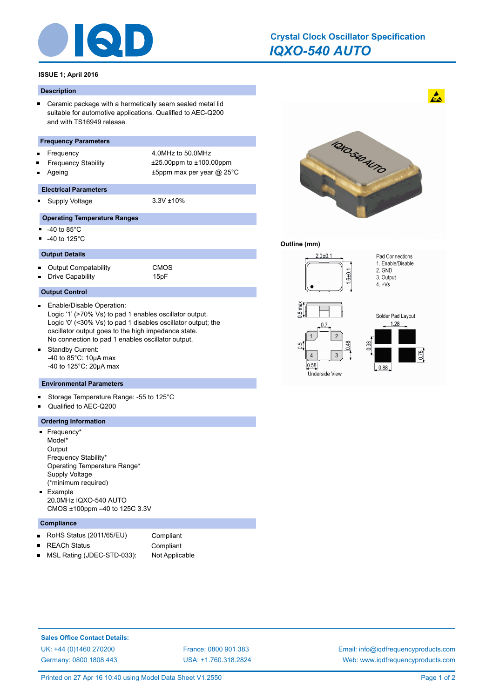

## **ISSUE 1; April 2016**

#### **Description**

Ceramic package with a hermetically seam sealed metal lid  $\blacksquare$ suitable for automotive applications. Qualified to AEC-Q200 and with TS16949 release.

#### **Frequency Parameters**

- Frequency 4.0MHz to 50.0MHz ř
- $\blacksquare$
- $\blacksquare$

 $\blacksquare$ 

Frequency Stability ±25.00ppm to ±100.00ppm Ageing the three terms of the top and the terms of the terms are the terms of the terms of the terms  $\pm$  5ppm max per year  $\varpi$  25°C

#### **Electrical Parameters**

Supply Voltage 3.3V ±10%

## **Operating Temperature Ranges**

- $\blacksquare$ -40 to 85°C
- $-40$  to 125 $^{\circ}$ C

## **Output Details**

 $\blacksquare$ Output Compatability CMOS  $\blacksquare$ Drive Capability **15pF** 

## **Output Control**

- Enable/Disable Operation:  $\blacksquare$ Logic '1' (>70% Vs) to pad 1 enables oscillator output. Logic '0' (<30% Vs) to pad 1 disables oscillator output; the oscillator output goes to the high impedance state. No connection to pad 1 enables oscillator output.
- $\blacksquare$ Standby Current: -40 to 85°C: 10µA max -40 to 125°C: 20µA max

#### **Environmental Parameters**

- Storage Temperature Range: -55 to 125°C  $\blacksquare$
- Qualified to AEC-Q200  $\blacksquare$

# **Ordering Information**

- **Frequency\*** Model\* **Output** Frequency Stability\* Operating Temperature Range\* Supply Voltage (\*minimum required) **Example**
- 20.0MHz IQXO-540 AUTO CMOS ±100ppm –40 to 125C 3.3V

## **Compliance**

- RoHS Status (2011/65/EU) Compliant  $\blacksquare$
- REACh Status **Compliant**  $\blacksquare$
- MSL Rating (JDEC-STD-033): Not Applicable  $\blacksquare$



# **Outline (mm)**



**Sales Office Contact Details:** [UK: +44 \(0\)1460 270200](http://www.iqdfrequencyproducts.co.uk) [France: 0800 901 383](http://www.iqdfrequencyproducts.fr) [Germany: 0800 1808 443](http://www.iqdfrequencyproducts.de)

[USA: +1.760.318.2824](http://www.iqdfrequencyproducts.com)

[Email: info@iqdfrequencyproducts.com](mailto:info@iqdfrequencyproducts.com) [Web: www.iqdfrequencyproducts.com](http://www.iqdfrequencyproducts.com)